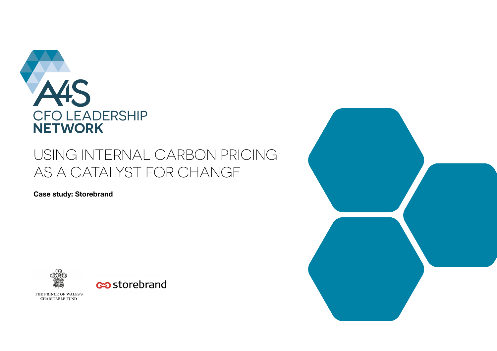

# USING INTERNAL CARBON PRICING AS A CATALYST FOR CHANGE

**Case study: Storebrand** 



THE PRINCE OF WALES'S **CHARITABLE FUND** 

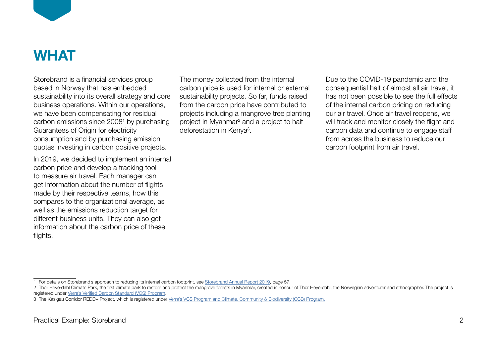

# **WHAT**

Storebrand is a financial services group based in Norway that has embedded sustainability into its overall strategy and core business operations. Within our operations, we have been compensating for residual carbon emissions since 2008<sup>1</sup> by purchasing Guarantees of Origin for electricity consumption and by purchasing emission quotas investing in carbon positive projects.

In 2019, we decided to implement an internal carbon price and develop a tracking tool to measure air travel. Each manager can get information about the number of flights made by their respective teams, how this compares to the organizational average, as well as the emissions reduction target for different business units. They can also get information about the carbon price of these flights.

The money collected from the internal carbon price is used for internal or external sustainability projects. So far, funds raised from the carbon price have contributed to projects including a mangrove tree planting project in Myanmar<sup>2</sup> and a project to halt deforestation in Kenya<sup>3</sup>.

Due to the COVID-19 pandemic and the consequential halt of almost all air travel, it has not been possible to see the full effects of the internal carbon pricing on reducing our air travel. Once air travel reopens, we will track and monitor closely the flight and carbon data and continue to engage staff from across the business to reduce our carbon footprint from air travel.

<sup>1</sup> For details on Storebrand's approach to reducing its internal carbon footprint, see [Storebrand Annual Report 2019](https://www.storebrand.no/en/sustainability/sustainability-library/_/attachment/inline/d0e9764c-1757-4fe1-a96b-c71c90a998a4:7cf55a6b7cc6fcd106f6bad885985c4c3608b11d/2019-annual-report-storebrand-asa.pdf), page 57.

<sup>2</sup> Thor Heyerdahl Climate Park, the first climate park to restore and protect the mangrove forests in Myanmar, created in honour of Thor Heyerdahl, the Norwegian adventurer and ethnographer. The project is registered under [Verra's Verified Carbon Standard \(VCS\) Program.](https://verra.org/verra-standards-and-programs/)

<sup>3</sup> The Kasigau Corridor REDD+ Project, which is registered under [Verra's VCS Program and Climate, Community & Biodiversity \(CCB\) Program.](https://verra.org/verra-standards-and-programs/)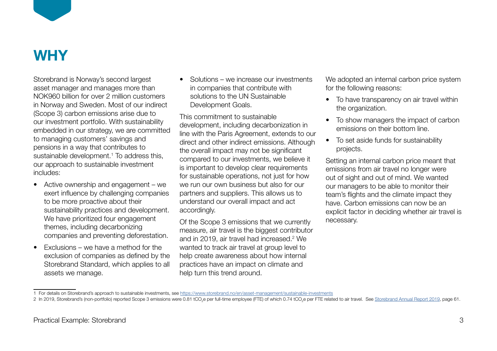

Storebrand is Norway's second largest asset manager and manages more than NOK960 billion for over 2 million customers in Norway and Sweden. Most of our indirect (Scope 3) carbon emissions arise due to our investment portfolio. With sustainability embedded in our strategy, we are committed to managing customers' savings and pensions in a way that contributes to sustainable development.<sup>1</sup> To address this, our approach to sustainable investment includes:

- Active ownership and engagement we exert influence by challenging companies to be more proactive about their sustainability practices and development. We have prioritized four engagement themes, including decarbonizing companies and preventing deforestation.
- Exclusions we have a method for the exclusion of companies as defined by the Storebrand Standard, which applies to all assets we manage.

• Solutions – we increase our investments in companies that contribute with solutions to the UN Sustainable Development Goals.

This commitment to sustainable development, including decarbonization in line with the Paris Agreement, extends to our direct and other indirect emissions. Although the overall impact may not be significant compared to our investments, we believe it is important to develop clear requirements for sustainable operations, not just for how we run our own business but also for our partners and suppliers. This allows us to understand our overall impact and act accordingly.

Of the Scope 3 emissions that we currently measure, air travel is the biggest contributor and in 2019, air travel had increased.<sup>2</sup> We wanted to track air travel at group level to help create awareness about how internal practices have an impact on climate and help turn this trend around.

We adopted an internal carbon price system for the following reasons:

- To have transparency on air travel within the organization.
- To show managers the impact of carbon emissions on their bottom line.
- To set aside funds for sustainability projects.

Setting an internal carbon price meant that emissions from air travel no longer were out of sight and out of mind. We wanted our managers to be able to monitor their team's flights and the climate impact they have. Carbon emissions can now be an explicit factor in deciding whether air travel is necessary.

<sup>1</sup> For details on Storebrand's approach to sustainable investments, see<https://www.storebrand.no/en/asset-management/sustainable-investments>

<sup>2</sup> In 2019, Storebrand's (non-portfolio) reported Scope 3 emissions were 0.81 tCO<sub>2</sub>e per full-time employee (FTE) of which 0.74 tCO<sub>2</sub>e per FTE related to air travel. See <u>[Storebrand Annual Report 2019,](https://www.storebrand.no/en/sustainability/sustainability-library/_/attachment/inline/d0e9764c-1757-4fe1-a96b-c71c90a998a4:7cf55a6b7cc6fcd106f6bad885985c4c3608b11d/2019-annual-report-storebrand-asa.pdf)</u> page 61.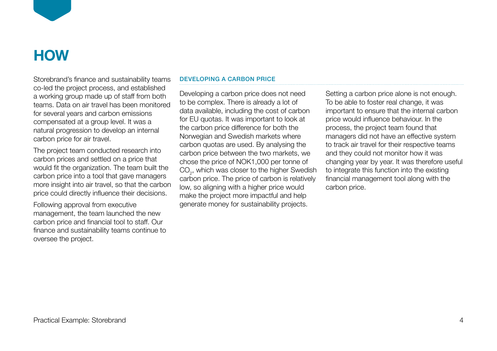

# **HOW**

Storebrand's finance and sustainability teams co-led the project process, and established a working group made up of staff from both teams. Data on air travel has been monitored for several years and carbon emissions compensated at a group level. It was a natural progression to develop an internal carbon price for air travel.

The project team conducted research into carbon prices and settled on a price that would fit the organization. The team built the carbon price into a tool that gave managers more insight into air travel, so that the carbon price could directly influence their decisions.

Following approval from executive management, the team launched the new carbon price and financial tool to staff. Our finance and sustainability teams continue to oversee the project.

## DEVELOPING A CARBON PRICE

Developing a carbon price does not need to be complex. There is already a lot of data available, including the cost of carbon for EU quotas. It was important to look at the carbon price difference for both the Norwegian and Swedish markets where carbon quotas are used. By analysing the carbon price between the two markets, we chose the price of NOK1,000 per tonne of  $\mathsf{CO}_2^{}$ , which was closer to the higher Swedish carbon price. The price of carbon is relatively low, so aligning with a higher price would make the project more impactful and help generate money for sustainability projects.

Setting a carbon price alone is not enough. To be able to foster real change, it was important to ensure that the internal carbon price would influence behaviour. In the process, the project team found that managers did not have an effective system to track air travel for their respective teams and they could not monitor how it was changing year by year. It was therefore useful to integrate this function into the existing financial management tool along with the carbon price.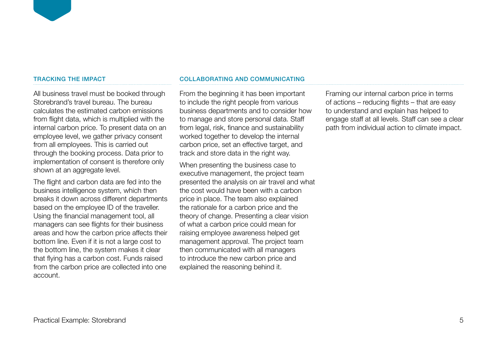### TRACKING THE IMPACT

All business travel must be booked through Storebrand's travel bureau. The bureau calculates the estimated carbon emissions from flight data, which is multiplied with the internal carbon price. To present data on an employee level, we gather privacy consent from all employees. This is carried out through the booking process. Data prior to implementation of consent is therefore only shown at an aggregate level.

The flight and carbon data are fed into the business intelligence system, which then breaks it down across different departments based on the employee ID of the traveller. Using the financial management tool, all managers can see flights for their business areas and how the carbon price affects their bottom line. Even if it is not a large cost to the bottom line, the system makes it clear that flying has a carbon cost. Funds raised from the carbon price are collected into one account.

### COLLABORATING AND COMMUNICATING

From the beginning it has been important to include the right people from various business departments and to consider how to manage and store personal data. Staff from legal, risk, finance and sustainability worked together to develop the internal carbon price, set an effective target, and track and store data in the right way.

When presenting the business case to executive management, the project team presented the analysis on air travel and what the cost would have been with a carbon price in place. The team also explained the rationale for a carbon price and the theory of change. Presenting a clear vision of what a carbon price could mean for raising employee awareness helped get management approval. The project team then communicated with all managers to introduce the new carbon price and explained the reasoning behind it.

Framing our internal carbon price in terms of actions – reducing flights – that are easy to understand and explain has helped to engage staff at all levels. Staff can see a clear path from individual action to climate impact.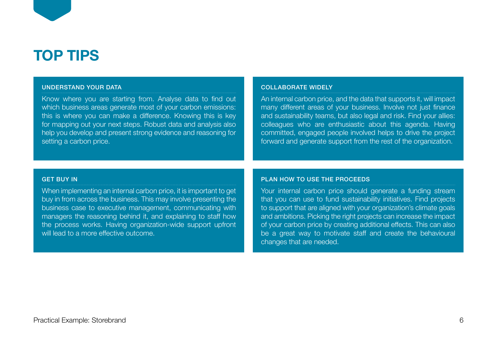

#### UNDERSTAND YOUR DATA

Know where you are starting from. Analyse data to find out which business areas generate most of your carbon emissions: this is where you can make a difference. Knowing this is key for mapping out your next steps. Robust data and analysis also help you develop and present strong evidence and reasoning for setting a carbon price.

#### COLLABORATE WIDELY

An internal carbon price, and the data that supports it, will impact many different areas of your business. Involve not just finance and sustainability teams, but also legal and risk. Find your allies: colleagues who are enthusiastic about this agenda. Having committed, engaged people involved helps to drive the project forward and generate support from the rest of the organization.

#### GET BUY IN

When implementing an internal carbon price, it is important to get buy in from across the business. This may involve presenting the business case to executive management, communicating with managers the reasoning behind it, and explaining to staff how the process works. Having organization-wide support upfront will lead to a more effective outcome.

### PLAN HOW TO USE THE PROCEEDS

Your internal carbon price should generate a funding stream that you can use to fund sustainability initiatives. Find projects to support that are aligned with your organization's climate goals and ambitions. Picking the right projects can increase the impact of your carbon price by creating additional effects. This can also be a great way to motivate staff and create the behavioural changes that are needed.